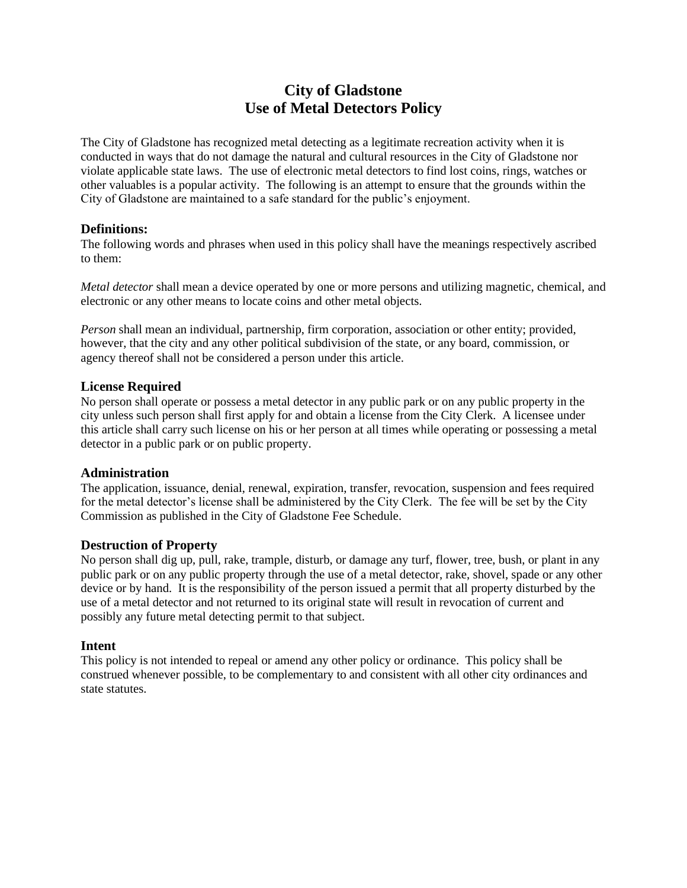# **City of Gladstone Use of Metal Detectors Policy**

The City of Gladstone has recognized metal detecting as a legitimate recreation activity when it is conducted in ways that do not damage the natural and cultural resources in the City of Gladstone nor violate applicable state laws. The use of electronic metal detectors to find lost coins, rings, watches or other valuables is a popular activity. The following is an attempt to ensure that the grounds within the City of Gladstone are maintained to a safe standard for the public's enjoyment.

## **Definitions:**

The following words and phrases when used in this policy shall have the meanings respectively ascribed to them:

*Metal detector* shall mean a device operated by one or more persons and utilizing magnetic, chemical, and electronic or any other means to locate coins and other metal objects.

*Person* shall mean an individual, partnership, firm corporation, association or other entity; provided, however, that the city and any other political subdivision of the state, or any board, commission, or agency thereof shall not be considered a person under this article.

## **License Required**

No person shall operate or possess a metal detector in any public park or on any public property in the city unless such person shall first apply for and obtain a license from the City Clerk. A licensee under this article shall carry such license on his or her person at all times while operating or possessing a metal detector in a public park or on public property.

#### **Administration**

The application, issuance, denial, renewal, expiration, transfer, revocation, suspension and fees required for the metal detector's license shall be administered by the City Clerk. The fee will be set by the City Commission as published in the City of Gladstone Fee Schedule.

#### **Destruction of Property**

No person shall dig up, pull, rake, trample, disturb, or damage any turf, flower, tree, bush, or plant in any public park or on any public property through the use of a metal detector, rake, shovel, spade or any other device or by hand. It is the responsibility of the person issued a permit that all property disturbed by the use of a metal detector and not returned to its original state will result in revocation of current and possibly any future metal detecting permit to that subject.

#### **Intent**

This policy is not intended to repeal or amend any other policy or ordinance. This policy shall be construed whenever possible, to be complementary to and consistent with all other city ordinances and state statutes.